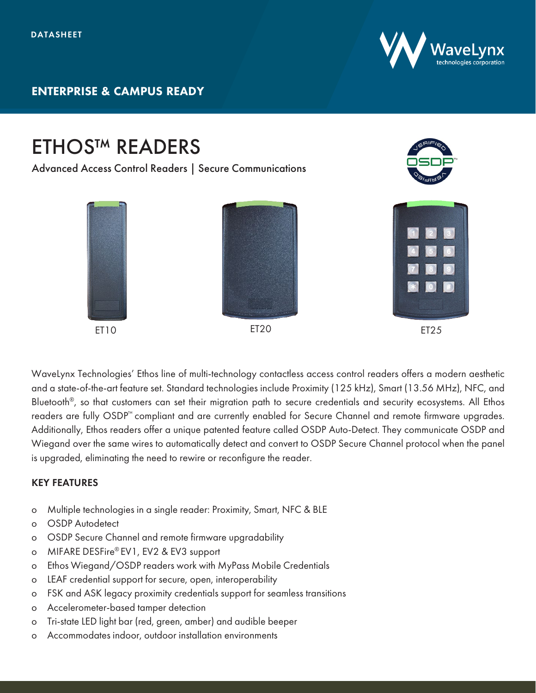

## ETHOS™ READERS Advanced Access Control Readers | Secure Communications ET10 ET20 ET20 ET25

WaveLynx Technologies' Ethos line of multi-technology contactless access control readers offers a modern aesthetic and a state-of-the-art feature set. Standard technologies include Proximity (125 kHz), Smart (13.56 MHz), NFC, and Bluetooth®, so that customers can set their migration path to secure credentials and security ecosystems. All Ethos readers are fully OSDP™ compliant and are currently enabled for Secure Channel and remote firmware upgrades. Additionally, Ethos readers offer a unique patented feature called OSDP Auto-Detect. They communicate OSDP and Wiegand over the same wires to automatically detect and convert to OSDP Secure Channel protocol when the panel is upgraded, eliminating the need to rewire or reconfigure the reader.

## KEY FEATURES

- o Multiple technologies in a single reader: Proximity, Smart, NFC & BLE
- o OSDP Autodetect
- o OSDP Secure Channel and remote firmware upgradability
- o MIFARE DESFire® EV1, EV2 & EV3 support
- o Ethos Wiegand/OSDP readers work with MyPass Mobile Credentials
- o LEAF credential support for secure, open, interoperability
- o FSK and ASK legacy proximity credentials support for seamless transitions
- o Accelerometer-based tamper detection
- o Tri-state LED light bar (red, green, amber) and audible beeper
- o Accommodates indoor, outdoor installation environments